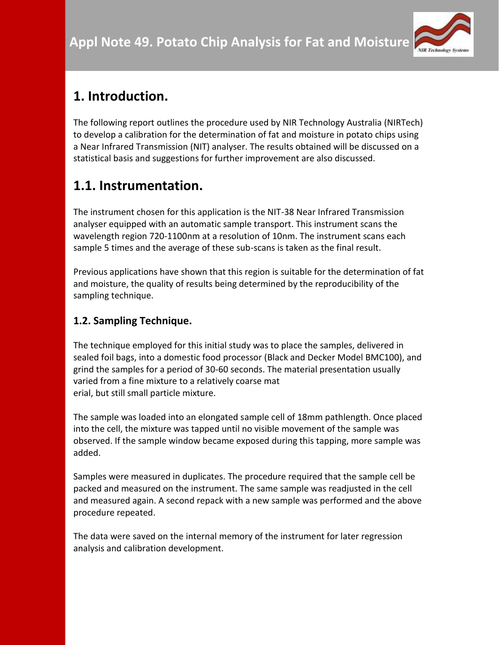

# **1. Introduction.**

The following report outlines the procedure used by NIR Technology Australia (NIRTech) to develop a calibration for the determination of fat and moisture in potato chips using a Near Infrared Transmission (NIT) analyser. The results obtained will be discussed on a statistical basis and suggestions for further improvement are also discussed.

# **1.1. Instrumentation.**

The instrument chosen for this application is the NIT-38 Near Infrared Transmission analyser equipped with an automatic sample transport. This instrument scans the wavelength region 720-1100nm at a resolution of 10nm. The instrument scans each sample 5 times and the average of these sub-scans is taken as the final result.

Previous applications have shown that this region is suitable for the determination of fat and moisture, the quality of results being determined by the reproducibility of the sampling technique.

## **1.2. Sampling Technique.**

The technique employed for this initial study was to place the samples, delivered in sealed foil bags, into a domestic food processor (Black and Decker Model BMC100), and grind the samples for a period of 30-60 seconds. The material presentation usually varied from a fine mixture to a relatively coarse mat erial, but still small particle mixture.

The sample was loaded into an elongated sample cell of 18mm pathlength. Once placed into the cell, the mixture was tapped until no visible movement of the sample was observed. If the sample window became exposed during this tapping, more sample was added.

Samples were measured in duplicates. The procedure required that the sample cell be packed and measured on the instrument. The same sample was readjusted in the cell and measured again. A second repack with a new sample was performed and the above procedure repeated.

The data were saved on the internal memory of the instrument for later regression analysis and calibration development.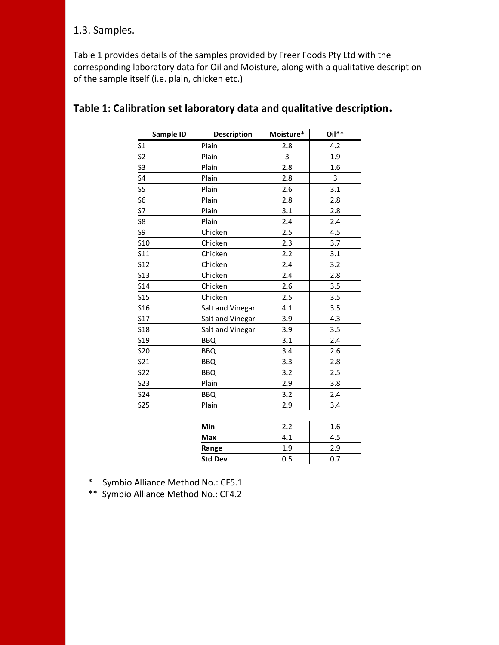### 1.3. Samples.

Table 1 provides details of the samples provided by Freer Foods Pty Ltd with the corresponding laboratory data for Oil and Moisture, along with a qualitative description of the sample itself (i.e. plain, chicken etc.)

| Sample ID     | <b>Description</b> | Moisture* | Oil** |
|---------------|--------------------|-----------|-------|
| $\mathsf{S}1$ | Plain              | 2.8       | 4.2   |
| S2            | Plain              | 3         | 1.9   |
| S3            | Plain              | 2.8       | 1.6   |
| S4            | Plain              | 2.8       | 3     |
| S5            | Plain              | 2.6       | 3.1   |
| S6            | Plain              | 2.8       | 2.8   |
| S7            | Plain              | 3.1       | 2.8   |
| S8            | Plain              | 2.4       | 2.4   |
| S9            | Chicken            | 2.5       | 4.5   |
| S10           | Chicken            | 2.3       | 3.7   |
| S11           | Chicken            | 2.2       | 3.1   |
| S12           | Chicken            | 2.4       | 3.2   |
| S13           | Chicken            | 2.4       | 2.8   |
| S14           | Chicken            | 2.6       | 3.5   |
| <b>S15</b>    | Chicken            | 2.5       | 3.5   |
| S16           | Salt and Vinegar   | 4.1       | 3.5   |
| S17           | Salt and Vinegar   | 3.9       | 4.3   |
| S18           | Salt and Vinegar   | 3.9       | 3.5   |
| S19           | <b>BBQ</b>         | 3.1       | 2.4   |
| <b>S20</b>    | <b>BBQ</b>         | 3.4       | 2.6   |
| S21           | <b>BBQ</b>         | 3.3       | 2.8   |
| S22           | <b>BBQ</b>         | 3.2       | 2.5   |
| S23           | Plain              | 2.9       | 3.8   |
| S24           | <b>BBQ</b>         | 3.2       | 2.4   |
| S25           | Plain              | 2.9       | 3.4   |
|               |                    |           |       |
|               | Min                | 2.2       | 1.6   |
|               | <b>Max</b>         | 4.1       | 4.5   |
|               | Range              | 1.9       | 2.9   |
|               | <b>Std Dev</b>     | 0.5       | 0.7   |

### **Table 1: Calibration set laboratory data and qualitative description.**

- \* Symbio Alliance Method No.: CF5.1
- \*\* Symbio Alliance Method No.: CF4.2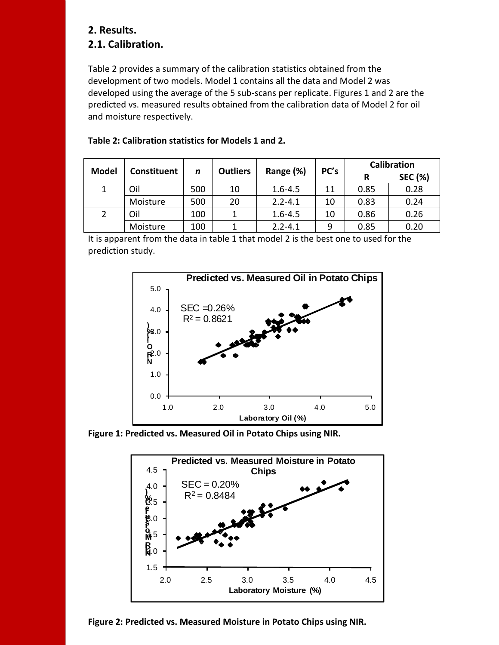#### **2. Results. 2.1. Calibration.**

Table 2 provides a summary of the calibration statistics obtained from the development of two models. Model 1 contains all the data and Model 2 was developed using the average of the 5 sub-scans per replicate. Figures 1 and 2 are the predicted vs. measured results obtained from the calibration data of Model 2 for oil and moisture respectively.

| <b>Model</b> | Constituent | n   | <b>Outliers</b> | Range (%)   | PC's | <b>Calibration</b> |                |
|--------------|-------------|-----|-----------------|-------------|------|--------------------|----------------|
|              |             |     |                 |             |      | R                  | <b>SEC (%)</b> |
|              | Oil         | 500 | 10              | $1.6 - 4.5$ | 11   | 0.85               | 0.28           |
|              | Moisture    | 500 | 20              | $2.2 - 4.1$ | 10   | 0.83               | 0.24           |
|              | Oil         | 100 |                 | $1.6 - 4.5$ | 10   | 0.86               | 0.26           |
|              | Moisture    | 100 |                 | $2.2 - 4.1$ | 9    | 0.85               | 0.20           |

#### **Table 2: Calibration statistics for Models 1 and 2.**

It is apparent from the data in table 1 that model 2 is the best one to used for the prediction study.



**Figure 1: Predicted vs. Measured Oil in Potato Chips using NIR.**



**Figure 2: Predicted vs. Measured Moisture in Potato Chips using NIR.**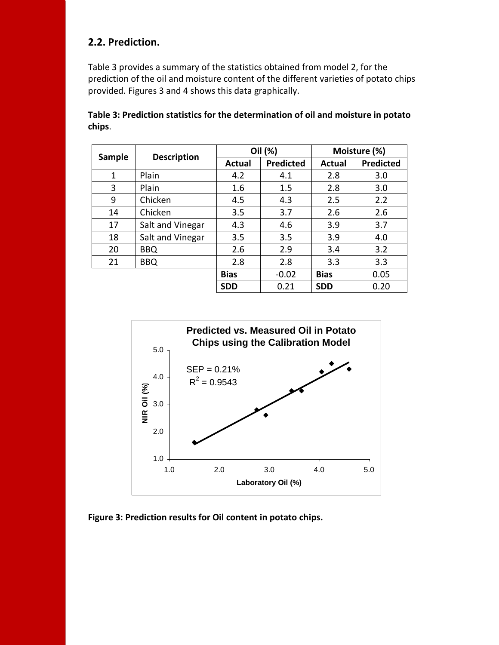### **2.2. Prediction.**

Table 3 provides a summary of the statistics obtained from model 2, for the prediction of the oil and moisture content of the different varieties of potato chips provided. Figures 3 and 4 shows this data graphically.

|               |                    | Oil (%)     |                  | Moisture (%) |           |
|---------------|--------------------|-------------|------------------|--------------|-----------|
| <b>Sample</b> | <b>Description</b> | Actual      | <b>Predicted</b> | Actual       | Predicted |
| 1             | Plain              | 4.2         | 4.1              | 2.8          | 3.0       |
| 3             | Plain              | 1.6         | 1.5              | 2.8          | 3.0       |
| 9             | Chicken            | 4.5         | 4.3              | 2.5          | 2.2       |
| 14            | Chicken            | 3.5         | 3.7              | 2.6          | 2.6       |
| 17            | Salt and Vinegar   | 4.3         | 4.6              | 3.9          | 3.7       |
| 18            | Salt and Vinegar   | 3.5         | 3.5              | 3.9          | 4.0       |
| 20            | <b>BBQ</b>         | 2.6         | 2.9              | 3.4          | 3.2       |
| 21            | <b>BBQ</b>         | 2.8         | 2.8              | 3.3          | 3.3       |
|               |                    | <b>Bias</b> | $-0.02$          | <b>Bias</b>  | 0.05      |
|               |                    | <b>SDD</b>  | 0.21             | <b>SDD</b>   | 0.20      |

**Table 3: Prediction statistics for the determination of oil and moisture in potato chips**.



**Figure 3: Prediction results for Oil content in potato chips.**